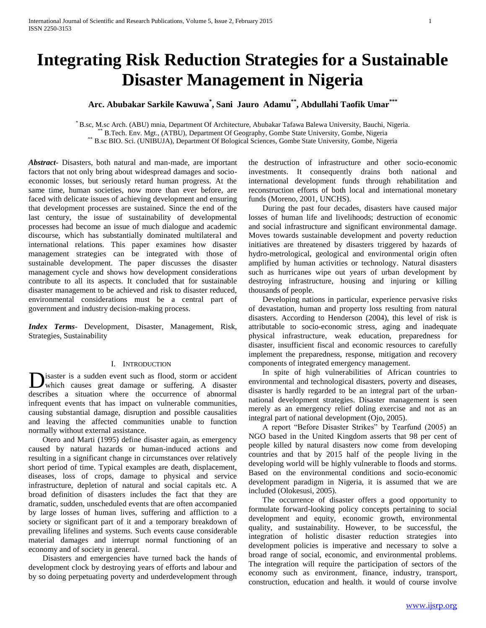# **Integrating Risk Reduction Strategies for a Sustainable Disaster Management in Nigeria**

## **Arc. Abubakar Sarkile Kawuwa\* , Sani Jauro Adamu\*\* , Abdullahi Taofik Umar\*\*\***

\* B.sc, M.sc Arch. (ABU) mnia, Department Of Architecture, Abubakar Tafawa Balewa University, Bauchi, Nigeria. \*\* B.Tech. Env. Mgt., (ATBU), Department Of Geography, Gombe State University, Gombe, Nigeria \*\* B.sc BIO. Sci. (UNIBUJA), Department Of Bological Sciences, Gombe State University, Gombe, Nigeria

*Abstract***-** Disasters, both natural and man-made, are important factors that not only bring about widespread damages and socioeconomic losses, but seriously retard human progress. At the same time, human societies, now more than ever before, are faced with delicate issues of achieving development and ensuring that development processes are sustained. Since the end of the last century, the issue of sustainability of developmental processes had become an issue of much dialogue and academic discourse, which has substantially dominated multilateral and international relations. This paper examines how disaster management strategies can be integrated with those of sustainable development. The paper discusses the disaster management cycle and shows how development considerations contribute to all its aspects. It concluded that for sustainable disaster management to be achieved and risk to disaster reduced, environmental considerations must be a central part of government and industry decision-making process.

*Index Terms*- Development, Disaster, Management, Risk, Strategies, Sustainability

## I. INTRODUCTION

isaster is a sudden event such as flood, storm or accident which causes great damage or suffering. A disaster **D**isaster is a sudden event such as flood, storm or accident which causes great damage or suffering. A disaster describes a situation where the occurrence of abnormal infrequent events that has impact on vulnerable communities, causing substantial damage, disruption and possible causalities and leaving the affected communities unable to function normally without external assistance.

 Otero and Marti (1995) define disaster again, as emergency caused by natural hazards or human-induced actions and resulting in a significant change in circumstances over relatively short period of time. Typical examples are death, displacement, diseases, loss of crops, damage to physical and service infrastructure, depletion of natural and social capitals etc. A broad definition of disasters includes the fact that they are dramatic, sudden, unscheduled events that are often accompanied by large losses of human lives, suffering and affliction to a society or significant part of it and a temporary breakdown of prevailing lifelines and systems. Such events cause considerable material damages and interrupt normal functioning of an economy and of society in general.

 Disasters and emergencies have turned back the hands of development clock by destroying years of efforts and labour and by so doing perpetuating poverty and underdevelopment through

the destruction of infrastructure and other socio-economic investments. It consequently drains both national and international development funds through rehabilitation and reconstruction efforts of both local and international monetary funds (Moreno, 2001, UNCHS).

 During the past four decades, disasters have caused major losses of human life and livelihoods; destruction of economic and social infrastructure and significant environmental damage. Moves towards sustainable development and poverty reduction initiatives are threatened by disasters triggered by hazards of hydro-metrological, geological and environmental origin often amplified by human activities or technology. Natural disasters such as hurricanes wipe out years of urban development by destroying infrastructure, housing and injuring or killing thousands of people.

 Developing nations in particular, experience pervasive risks of devastation, human and property loss resulting from natural disasters. According to Henderson (2004), this level of risk is attributable to socio-economic stress, aging and inadequate physical infrastructure, weak education, preparedness for disaster, insufficient fiscal and economic resources to carefully implement the preparedness, response, mitigation and recovery components of integrated emergency management.

 In spite of high vulnerabilities of African countries to environmental and technological disasters, poverty and diseases, disaster is hardly regarded to be an integral part of the urbannational development strategies. Disaster management is seen merely as an emergency relief doling exercise and not as an integral part of national development (Ojo, 2005).

 A report "Before Disaster Strikes" by Tearfund (2005) an NGO based in the United Kingdom asserts that 98 per cent of people killed by natural disasters now come from developing countries and that by 2015 half of the people living in the developing world will be highly vulnerable to floods and storms. Based on the environmental conditions and socio-economic development paradigm in Nigeria, it is assumed that we are included (Olokesusi, 2005).

 The occurrence of disaster offers a good opportunity to formulate forward-looking policy concepts pertaining to social development and equity, economic growth, environmental quality, and sustainability. However, to be successful, the integration of holistic disaster reduction strategies into development policies is imperative and necessary to solve a broad range of social, economic, and environmental problems. The integration will require the participation of sectors of the economy such as environment, finance, industry, transport, construction, education and health. it would of course involve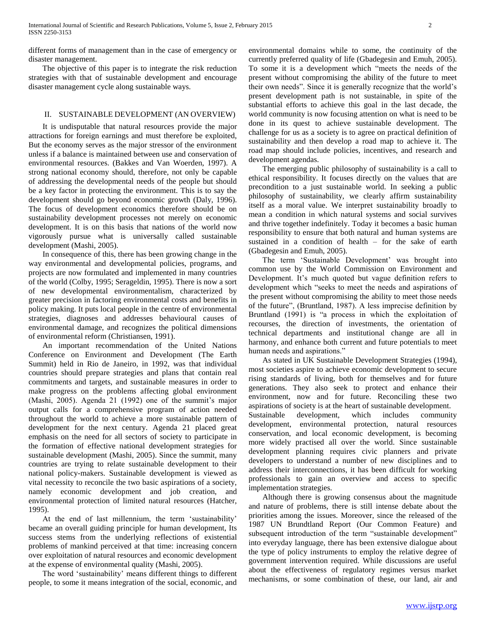different forms of management than in the case of emergency or disaster management.

 The objective of this paper is to integrate the risk reduction strategies with that of sustainable development and encourage disaster management cycle along sustainable ways.

## II. SUSTAINABLE DEVELOPMENT (AN OVERVIEW)

 It is undisputable that natural resources provide the major attractions for foreign earnings and must therefore be exploited, But the economy serves as the major stressor of the environment unless if a balance is maintained between use and conservation of environmental resources. (Bakkes and Van Woerden, 1997). A strong national economy should, therefore, not only be capable of addressing the developmental needs of the people but should be a key factor in protecting the environment. This is to say the development should go beyond economic growth (Daly, 1996). The focus of development economics therefore should be on sustainability development processes not merely on economic development. It is on this basis that nations of the world now vigorously pursue what is universally called sustainable development (Mashi, 2005).

 In consequence of this, there has been growing change in the way environmental and developmental policies, programs, and projects are now formulated and implemented in many countries of the world (Colby, 1995; Serageldin, 1995). There is now a sort of new developmental environmentalism, characterized by greater precision in factoring environmental costs and benefits in policy making. It puts local people in the centre of environmental strategies, diagnoses and addresses behavioural causes of environmental damage, and recognizes the political dimensions of environmental reform (Christiansen, 1991).

 An important recommendation of the United Nations Conference on Environment and Development (The Earth Summit) held in Rio de Janeiro, in 1992, was that individual countries should prepare strategies and plans that contain real commitments and targets, and sustainable measures in order to make progress on the problems affecting global environment (Mashi, 2005). Agenda 21 (1992) one of the summit's major output calls for a comprehensive program of action needed throughout the world to achieve a more sustainable pattern of development for the next century. Agenda 21 placed great emphasis on the need for all sectors of society to participate in the formation of effective national development strategies for sustainable development (Mashi, 2005). Since the summit, many countries are trying to relate sustainable development to their national policy-makers. Sustainable development is viewed as vital necessity to reconcile the two basic aspirations of a society, namely economic development and job creation, and environmental protection of limited natural resources (Hatcher, 1995).

 At the end of last millennium, the term 'sustainability' became an overall guiding principle for human development, Its success stems from the underlying reflections of existential problems of mankind perceived at that time: increasing concern over exploitation of natural resources and economic development at the expense of environmental quality (Mashi, 2005).

 The word 'sustainability' means different things to different people, to some it means integration of the social, economic, and environmental domains while to some, the continuity of the currently preferred quality of life (Gbadegesin and Emuh, 2005). To some it is a development which "meets the needs of the present without compromising the ability of the future to meet their own needs". Since it is generally recognize that the world's present development path is not sustainable, in spite of the substantial efforts to achieve this goal in the last decade, the world community is now focusing attention on what is need to be done in its quest to achieve sustainable development. The challenge for us as a society is to agree on practical definition of sustainability and then develop a road map to achieve it. The road map should include policies, incentives, and research and development agendas.

 The emerging public philosophy of sustainability is a call to ethical responsibility. It focuses directly on the values that are precondition to a just sustainable world. In seeking a public philosophy of sustainability, we clearly affirm sustainability itself as a moral value. We interpret sustainability broadly to mean a condition in which natural systems and social survives and thrive together indefinitely. Today it becomes a basic human responsibility to ensure that both natural and human systems are sustained in a condition of health – for the sake of earth (Gbadegesin and Emuh, 2005).

 The term 'Sustainable Development' was brought into common use by the World Commission on Environment and Development. It's much quoted but vague definition refers to development which "seeks to meet the needs and aspirations of the present without compromising the ability to meet those needs of the future", (Bruntland, 1987). A less imprecise definition by Bruntland (1991) is "a process in which the exploitation of recourses, the direction of investments, the orientation of technical departments and institutional change are all in harmony, and enhance both current and future potentials to meet human needs and aspirations."

 As stated in UK Sustainable Development Strategies (1994), most societies aspire to achieve economic development to secure rising standards of living, both for themselves and for future generations. They also seek to protect and enhance their environment, now and for future. Reconciling these two aspirations of society is at the heart of sustainable development. Sustainable development, which includes community development, environmental protection, natural resources conservation, and local economic development, is becoming more widely practised all over the world. Since sustainable development planning requires civic planners and private developers to understand a number of new disciplines and to address their interconnections, it has been difficult for working professionals to gain an overview and access to specific implementation strategies.

 Although there is growing consensus about the magnitude and nature of problems, there is still intense debate about the priorities among the issues. Moreover, since the released of the 1987 UN Brundtland Report (Our Common Feature) and subsequent introduction of the term "sustainable development" into everyday language, there has been extensive dialogue about the type of policy instruments to employ the relative degree of government intervention required. While discussions are useful about the effectiveness of regulatory regimes versus market mechanisms, or some combination of these, our land, air and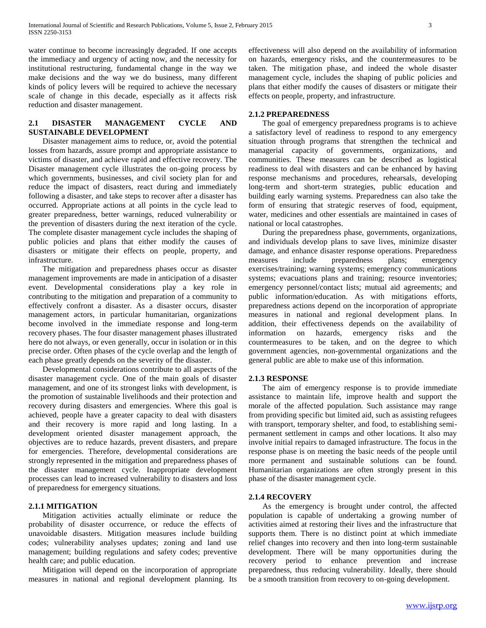water continue to become increasingly degraded. If one accepts the immediacy and urgency of acting now, and the necessity for institutional restructuring, fundamental change in the way we make decisions and the way we do business, many different kinds of policy levers will be required to achieve the necessary scale of change in this decade, especially as it affects risk reduction and disaster management.

## **2.1 DISASTER MANAGEMENT CYCLE AND SUSTAINABLE DEVELOPMENT**

 Disaster management aims to reduce, or, avoid the potential losses from hazards, assure prompt and appropriate assistance to victims of disaster, and achieve rapid and effective recovery. The Disaster management cycle illustrates the on-going process by which governments, businesses, and civil society plan for and reduce the impact of disasters, react during and immediately following a disaster, and take steps to recover after a disaster has occurred. Appropriate actions at all points in the cycle lead to greater preparedness, better warnings, reduced vulnerability or the prevention of disasters during the next iteration of the cycle. The complete disaster management cycle includes the shaping of public policies and plans that either modify the causes of disasters or mitigate their effects on people, property, and infrastructure.

 The mitigation and preparedness phases occur as disaster management improvements are made in anticipation of a disaster event. Developmental considerations play a key role in contributing to the mitigation and preparation of a community to effectively confront a disaster. As a disaster occurs, disaster management actors, in particular humanitarian, organizations become involved in the immediate response and long-term recovery phases. The four disaster management phases illustrated here do not always, or even generally, occur in isolation or in this precise order. Often phases of the cycle overlap and the length of each phase greatly depends on the severity of the disaster.

 Developmental considerations contribute to all aspects of the disaster management cycle. One of the main goals of disaster management, and one of its strongest links with development, is the promotion of sustainable livelihoods and their protection and recovery during disasters and emergencies. Where this goal is achieved, people have a greater capacity to deal with disasters and their recovery is more rapid and long lasting. In a development oriented disaster management approach, the objectives are to reduce hazards, prevent disasters, and prepare for emergencies. Therefore, developmental considerations are strongly represented in the mitigation and preparedness phases of the disaster management cycle. Inappropriate development processes can lead to increased vulnerability to disasters and loss of preparedness for emergency situations.

## **2.1.1 MITIGATION**

 Mitigation activities actually eliminate or reduce the probability of disaster occurrence, or reduce the effects of unavoidable disasters. Mitigation measures include building codes; vulnerability analyses updates; zoning and land use management; building regulations and safety codes; preventive health care; and public education.

 Mitigation will depend on the incorporation of appropriate measures in national and regional development planning. Its

effectiveness will also depend on the availability of information on hazards, emergency risks, and the countermeasures to be taken. The mitigation phase, and indeed the whole disaster management cycle, includes the shaping of public policies and plans that either modify the causes of disasters or mitigate their effects on people, property, and infrastructure.

## **2.1.2 PREPAREDNESS**

 The goal of emergency preparedness programs is to achieve a satisfactory level of readiness to respond to any emergency situation through programs that strengthen the technical and managerial capacity of governments, organizations, and communities. These measures can be described as logistical readiness to deal with disasters and can be enhanced by having response mechanisms and procedures, rehearsals, developing long-term and short-term strategies, public education and building early warning systems. Preparedness can also take the form of ensuring that strategic reserves of food, equipment, water, medicines and other essentials are maintained in cases of national or local catastrophes.

 During the preparedness phase, governments, organizations, and individuals develop plans to save lives, minimize disaster damage, and enhance disaster response operations. Preparedness measures include preparedness plans; emergency exercises/training; warning systems; emergency communications systems; evacuations plans and training; resource inventories; emergency personnel/contact lists; mutual aid agreements; and public information/education. As with mitigations efforts, preparedness actions depend on the incorporation of appropriate measures in national and regional development plans. In addition, their effectiveness depends on the availability of information on hazards, emergency risks and the countermeasures to be taken, and on the degree to which government agencies, non-governmental organizations and the general public are able to make use of this information.

## **2.1.3 RESPONSE**

 The aim of emergency response is to provide immediate assistance to maintain life, improve health and support the morale of the affected population. Such assistance may range from providing specific but limited aid, such as assisting refugees with transport, temporary shelter, and food, to establishing semipermanent settlement in camps and other locations. It also may involve initial repairs to damaged infrastructure. The focus in the response phase is on meeting the basic needs of the people until more permanent and sustainable solutions can be found. Humanitarian organizations are often strongly present in this phase of the disaster management cycle.

## **2.1.4 RECOVERY**

 As the emergency is brought under control, the affected population is capable of undertaking a growing number of activities aimed at restoring their lives and the infrastructure that supports them. There is no distinct point at which immediate relief changes into recovery and then into long-term sustainable development. There will be many opportunities during the recovery period to enhance prevention and increase preparedness, thus reducing vulnerability. Ideally, there should be a smooth transition from recovery to on-going development.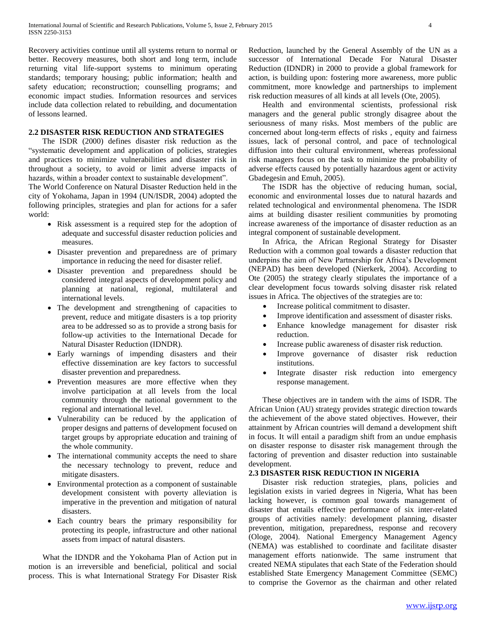Recovery activities continue until all systems return to normal or better. Recovery measures, both short and long term, include returning vital life-support systems to minimum operating standards; temporary housing; public information; health and safety education; reconstruction; counselling programs; and economic impact studies. Information resources and services include data collection related to rebuilding, and documentation of lessons learned.

## **2.2 DISASTER RISK REDUCTION AND STRATEGIES**

 The ISDR (2000) defines disaster risk reduction as the "systematic development and application of policies, strategies and practices to minimize vulnerabilities and disaster risk in throughout a society, to avoid or limit adverse impacts of hazards, within a broader context to sustainable development".

The World Conference on Natural Disaster Reduction held in the city of Yokohama, Japan in 1994 (UN/ISDR, 2004) adopted the following principles, strategies and plan for actions for a safer world:

- Risk assessment is a required step for the adoption of adequate and successful disaster reduction policies and measures.
- Disaster prevention and preparedness are of primary importance in reducing the need for disaster relief.
- Disaster prevention and preparedness should be considered integral aspects of development policy and planning at national, regional, multilateral and international levels.
- The development and strengthening of capacities to prevent, reduce and mitigate disasters is a top priority area to be addressed so as to provide a strong basis for follow-up activities to the International Decade for Natural Disaster Reduction (IDNDR).
- Early warnings of impending disasters and their effective dissemination are key factors to successful disaster prevention and preparedness.
- Prevention measures are more effective when they involve participation at all levels from the local community through the national government to the regional and international level.
- Vulnerability can be reduced by the application of proper designs and patterns of development focused on target groups by appropriate education and training of the whole community.
- The international community accepts the need to share the necessary technology to prevent, reduce and mitigate disasters.
- Environmental protection as a component of sustainable development consistent with poverty alleviation is imperative in the prevention and mitigation of natural disasters.
- Each country bears the primary responsibility for protecting its people, infrastructure and other national assets from impact of natural disasters.

 What the IDNDR and the Yokohama Plan of Action put in motion is an irreversible and beneficial, political and social process. This is what International Strategy For Disaster Risk Reduction, launched by the General Assembly of the UN as a successor of International Decade For Natural Disaster Reduction (IDNDR) in 2000 to provide a global framework for action, is building upon: fostering more awareness, more public commitment, more knowledge and partnerships to implement risk reduction measures of all kinds at all levels (Ote, 2005).

 Health and environmental scientists, professional risk managers and the general public strongly disagree about the seriousness of many risks. Most members of the public are concerned about long-term effects of risks , equity and fairness issues, lack of personal control, and pace of technological diffusion into their cultural environment, whereas professional risk managers focus on the task to minimize the probability of adverse effects caused by potentially hazardous agent or activity Gbadegesin and Emuh, 2005).

 The ISDR has the objective of reducing human, social, economic and environmental losses due to natural hazards and related technological and environmental phenomena. The ISDR aims at building disaster resilient communities by promoting increase awareness of the importance of disaster reduction as an integral component of sustainable development.

 In Africa, the African Regional Strategy for Disaster Reduction with a common goal towards a disaster reduction that underpins the aim of New Partnership for Africa's Development (NEPAD) has been developed (Nierkerk, 2004). According to Ote (2005) the strategy clearly stipulates the importance of a clear development focus towards solving disaster risk related issues in Africa. The objectives of the strategies are to:

- Increase political commitment to disaster.
- Improve identification and assessment of disaster risks.
- Enhance knowledge management for disaster risk reduction.
- Increase public awareness of disaster risk reduction.
- Improve governance of disaster risk reduction institutions.
- Integrate disaster risk reduction into emergency response management.

 These objectives are in tandem with the aims of ISDR. The African Union (AU) strategy provides strategic direction towards the achievement of the above stated objectives. However, their attainment by African countries will demand a development shift in focus. It will entail a paradigm shift from an undue emphasis on disaster response to disaster risk management through the factoring of prevention and disaster reduction into sustainable development.

## **2.3 DISASTER RISK REDUCTION IN NIGERIA**

 Disaster risk reduction strategies, plans, policies and legislation exists in varied degrees in Nigeria, What has been lacking however, is common goal towards management of disaster that entails effective performance of six inter-related groups of activities namely: development planning, disaster prevention, mitigation, preparedness, response and recovery (Ologe, 2004). National Emergency Management Agency (NEMA) was established to coordinate and facilitate disaster management efforts nationwide. The same instrument that created NEMA stipulates that each State of the Federation should established State Emergency Management Committee (SEMC) to comprise the Governor as the chairman and other related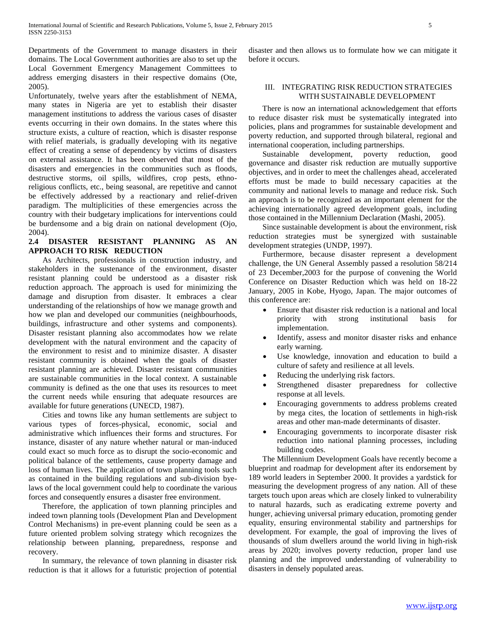Departments of the Government to manage disasters in their domains. The Local Government authorities are also to set up the Local Government Emergency Management Committees to address emerging disasters in their respective domains (Ote, 2005).

Unfortunately, twelve years after the establishment of NEMA, many states in Nigeria are yet to establish their disaster management institutions to address the various cases of disaster events occurring in their own domains. In the states where this structure exists, a culture of reaction, which is disaster response with relief materials, is gradually developing with its negative effect of creating a sense of dependency by victims of disasters on external assistance. It has been observed that most of the disasters and emergencies in the communities such as floods, destructive storms, oil spills, wildfires, crop pests, ethnoreligious conflicts, etc., being seasonal, are repetitive and cannot be effectively addressed by a reactionary and relief-driven paradigm. The multiplicities of these emergencies across the country with their budgetary implications for interventions could be burdensome and a big drain on national development (Ojo, 2004).

## **2.4 DISASTER RESISTANT PLANNING AS AN APPROACH TO RISK REDUCTION**

 As Architects, professionals in construction industry, and stakeholders in the sustenance of the environment, disaster resistant planning could be understood as a disaster risk reduction approach. The approach is used for minimizing the damage and disruption from disaster. It embraces a clear understanding of the relationships of how we manage growth and how we plan and developed our communities (neighbourhoods, buildings, infrastructure and other systems and components). Disaster resistant planning also accommodates how we relate development with the natural environment and the capacity of the environment to resist and to minimize disaster. A disaster resistant community is obtained when the goals of disaster resistant planning are achieved. Disaster resistant communities are sustainable communities in the local context. A sustainable community is defined as the one that uses its resources to meet the current needs while ensuring that adequate resources are available for future generations (UNECD, 1987).

 Cities and towns like any human settlements are subject to various types of forces-physical, economic, social and administrative which influences their forms and structures. For instance, disaster of any nature whether natural or man-induced could exact so much force as to disrupt the socio-economic and political balance of the settlements, cause property damage and loss of human lives. The application of town planning tools such as contained in the building regulations and sub-division byelaws of the local government could help to coordinate the various forces and consequently ensures a disaster free environment.

 Therefore, the application of town planning principles and indeed town planning tools (Development Plan and Development Control Mechanisms) in pre-event planning could be seen as a future oriented problem solving strategy which recognizes the relationship between planning, preparedness, response and recovery.

 In summary, the relevance of town planning in disaster risk reduction is that it allows for a futuristic projection of potential

disaster and then allows us to formulate how we can mitigate it before it occurs.

## III. INTEGRATING RISK REDUCTION STRATEGIES WITH SUSTAINABLE DEVELOPMENT

 There is now an international acknowledgement that efforts to reduce disaster risk must be systematically integrated into policies, plans and programmes for sustainable development and poverty reduction, and supported through bilateral, regional and international cooperation, including partnerships.

 Sustainable development, poverty reduction, good governance and disaster risk reduction are mutually supportive objectives, and in order to meet the challenges ahead, accelerated efforts must be made to build necessary capacities at the community and national levels to manage and reduce risk. Such an approach is to be recognized as an important element for the achieving internationally agreed development goals, including those contained in the Millennium Declaration (Mashi, 2005).

 Since sustainable development is about the environment, risk reduction strategies must be synergized with sustainable development strategies (UNDP, 1997).

 Furthermore, because disaster represent a development challenge, the UN General Assembly passed a resolution 58/214 of 23 December,2003 for the purpose of convening the World Conference on Disaster Reduction which was held on 18-22 January, 2005 in Kobe, Hyogo, Japan. The major outcomes of this conference are:

- Ensure that disaster risk reduction is a national and local priority with strong institutional basis for implementation.
- Identify, assess and monitor disaster risks and enhance early warning.
- Use knowledge, innovation and education to build a culture of safety and resilience at all levels.
- Reducing the underlying risk factors.
- Strengthened disaster preparedness for collective response at all levels.
- Encouraging governments to address problems created by mega cites, the location of settlements in high-risk areas and other man-made determinants of disaster.
- Encouraging governments to incorporate disaster risk reduction into national planning processes, including building codes.

 The Millennium Development Goals have recently become a blueprint and roadmap for development after its endorsement by 189 world leaders in September 2000. It provides a yardstick for measuring the development progress of any nation. All of these targets touch upon areas which are closely linked to vulnerability to natural hazards, such as eradicating extreme poverty and hunger, achieving universal primary education, promoting gender equality, ensuring environmental stability and partnerships for development. For example, the goal of improving the lives of thousands of slum dwellers around the world living in high-risk areas by 2020; involves poverty reduction, proper land use planning and the improved understanding of vulnerability to disasters in densely populated areas.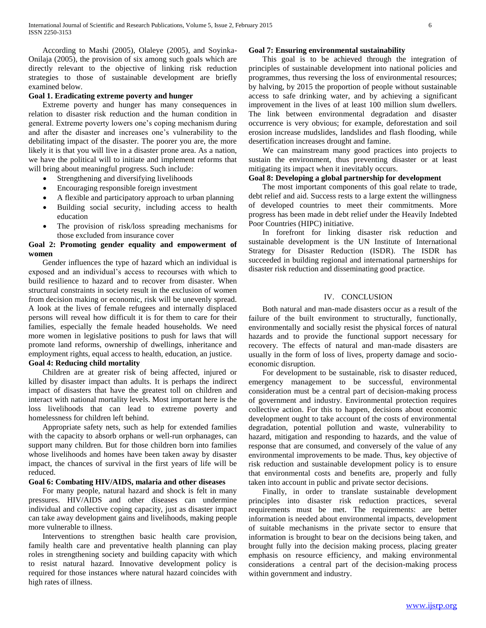According to Mashi (2005), Olaleye (2005), and Soyinka-Onilaja (2005), the provision of six among such goals which are directly relevant to the objective of linking risk reduction strategies to those of sustainable development are briefly examined below.

## **Goal 1. Eradicating extreme poverty and hunger**

 Extreme poverty and hunger has many consequences in relation to disaster risk reduction and the human condition in general. Extreme poverty lowers one's coping mechanism during and after the disaster and increases one's vulnerability to the debilitating impact of the disaster. The poorer you are, the more likely it is that you will live in a disaster prone area. As a nation, we have the political will to initiate and implement reforms that will bring about meaningful progress. Such include:

- Strengthening and diversifying livelihoods
- Encouraging responsible foreign investment
- A flexible and participatory approach to urban planning
- Building social security, including access to health education
- The provision of risk/loss spreading mechanisms for those excluded from insurance cover

## **Goal 2: Promoting gender equality and empowerment of women**

 Gender influences the type of hazard which an individual is exposed and an individual's access to recourses with which to build resilience to hazard and to recover from disaster. When structural constraints in society result in the exclusion of women from decision making or economic, risk will be unevenly spread. A look at the lives of female refugees and internally displaced persons will reveal how difficult it is for them to care for their families, especially the female headed households. We need more women in legislative positions to push for laws that will promote land reforms, ownership of dwellings, inheritance and employment rights, equal access to health, education, an justice. **Goal 4: Reducing child mortality**

 Children are at greater risk of being affected, injured or killed by disaster impact than adults. It is perhaps the indirect impact of disasters that have the greatest toll on children and interact with national mortality levels. Most important here is the loss livelihoods that can lead to extreme poverty and homelessness for children left behind.

 Appropriate safety nets, such as help for extended families with the capacity to absorb orphans or well-run orphanages, can support many children. But for those children born into families whose livelihoods and homes have been taken away by disaster impact, the chances of survival in the first years of life will be reduced.

## **Goal 6: Combating HIV/AIDS, malaria and other diseases**

 For many people, natural hazard and shock is felt in many pressures. HIV/AIDS and other diseases can undermine individual and collective coping capacity, just as disaster impact can take away development gains and livelihoods, making people more vulnerable to illness.

 Interventions to strengthen basic health care provision, family health care and preventative health planning can play roles in strengthening society and building capacity with which to resist natural hazard. Innovative development policy is required for those instances where natural hazard coincides with high rates of illness.

## **Goal 7: Ensuring environmental sustainability**

 This goal is to be achieved through the integration of principles of sustainable development into national policies and programmes, thus reversing the loss of environmental resources; by halving, by 2015 the proportion of people without sustainable access to safe drinking water, and by achieving a significant improvement in the lives of at least 100 million slum dwellers. The link between environmental degradation and disaster occurrence is very obvious; for example, deforestation and soil erosion increase mudslides, landslides and flash flooding, while desertification increases drought and famine.

 We can mainstream many good practices into projects to sustain the environment, thus preventing disaster or at least mitigating its impact when it inevitably occurs.

## **Goal 8: Developing a global partnership for development**

 The most important components of this goal relate to trade, debt relief and aid. Success rests to a large extent the willingness of developed countries to meet their commitments. More progress has been made in debt relief under the Heavily Indebted Poor Countries (HIPC) initiative.

 In forefront for linking disaster risk reduction and sustainable development is the UN Institute of International Strategy for Disaster Reduction (ISDR). The ISDR has succeeded in building regional and international partnerships for disaster risk reduction and disseminating good practice.

## IV. CONCLUSION

 Both natural and man-made disasters occur as a result of the failure of the built environment to structurally, functionally, environmentally and socially resist the physical forces of natural hazards and to provide the functional support necessary for recovery. The effects of natural and man-made disasters are usually in the form of loss of lives, property damage and socioeconomic disruption.

 For development to be sustainable, risk to disaster reduced, emergency management to be successful, environmental consideration must be a central part of decision-making process of government and industry. Environmental protection requires collective action. For this to happen, decisions about economic development ought to take account of the costs of environmental degradation, potential pollution and waste, vulnerability to hazard, mitigation and responding to hazards, and the value of response that are consumed, and conversely of the value of any environmental improvements to be made. Thus, key objective of risk reduction and sustainable development policy is to ensure that environmental costs and benefits are, properly and fully taken into account in public and private sector decisions.

 Finally, in order to translate sustainable development principles into disaster risk reduction practices, several requirements must be met. The requirements: are better information is needed about environmental impacts, development of suitable mechanisms in the private sector to ensure that information is brought to bear on the decisions being taken, and brought fully into the decision making process, placing greater emphasis on resource efficiency, and making environmental considerations a central part of the decision-making process within government and industry.